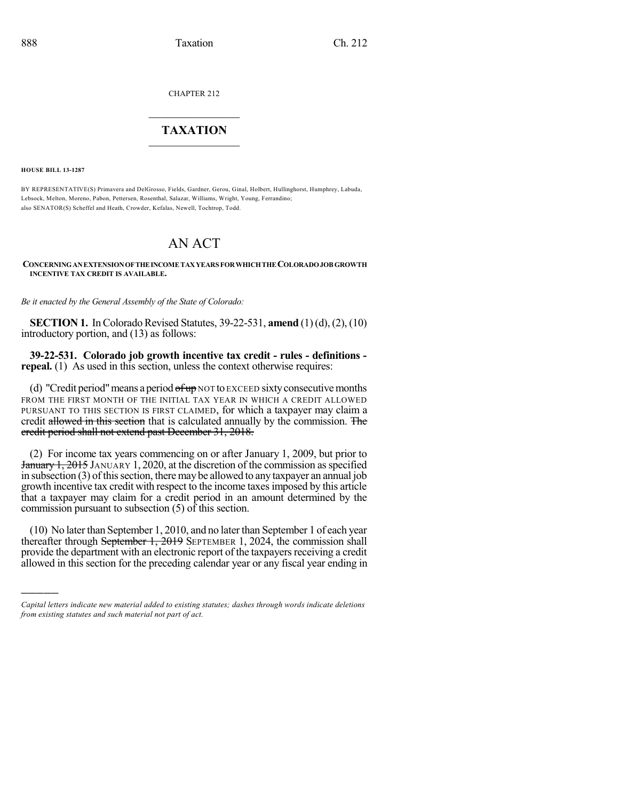CHAPTER 212

## $\overline{\phantom{a}}$  . The set of the set of the set of the set of the set of the set of the set of the set of the set of the set of the set of the set of the set of the set of the set of the set of the set of the set of the set o **TAXATION**  $\_$

**HOUSE BILL 13-1287**

)))))

BY REPRESENTATIVE(S) Primavera and DelGrosso, Fields, Gardner, Gerou, Ginal, Holbert, Hullinghorst, Humphrey, Labuda, Lebsock, Melton, Moreno, Pabon, Pettersen, Rosenthal, Salazar, Williams, Wright, Young, Ferrandino; also SENATOR(S) Scheffel and Heath, Crowder, Kefalas, Newell, Tochtrop, Todd.

## AN ACT

**CONCERNINGANEXTENSIONOFTHEINCOME TAXYEARS FORWHICHTHE COLORADOJOB GROWTH INCENTIVE TAX CREDIT IS AVAILABLE.**

*Be it enacted by the General Assembly of the State of Colorado:*

**SECTION 1.** In Colorado Revised Statutes, 39-22-531, **amend** (1)(d), (2), (10) introductory portion, and (13) as follows:

**39-22-531. Colorado job growth incentive tax credit - rules - definitions repeal.** (1) As used in this section, unless the context otherwise requires:

(d) "Credit period" means a period  $\theta$  fup NOT to EXCEED sixty consecutive months FROM THE FIRST MONTH OF THE INITIAL TAX YEAR IN WHICH A CREDIT ALLOWED PURSUANT TO THIS SECTION IS FIRST CLAIMED, for which a taxpayer may claim a credit allowed in this section that is calculated annually by the commission. The credit period shall not extend past December 31, 2018.

(2) For income tax years commencing on or after January 1, 2009, but prior to **January 1, 2015** JANUARY 1, 2020, at the discretion of the commission as specified in subsection  $(3)$  of this section, there may be allowed to any taxpayer an annual job growth incentive tax credit with respect to the income taxesimposed by this article that a taxpayer may claim for a credit period in an amount determined by the commission pursuant to subsection (5) of this section.

(10) No laterthan September 1, 2010, and no later than September 1 of each year thereafter through September 1, 2019 SEPTEMBER 1, 2024, the commission shall provide the department with an electronic report of the taxpayers receiving a credit allowed in this section for the preceding calendar year or any fiscal year ending in

*Capital letters indicate new material added to existing statutes; dashes through words indicate deletions from existing statutes and such material not part of act.*